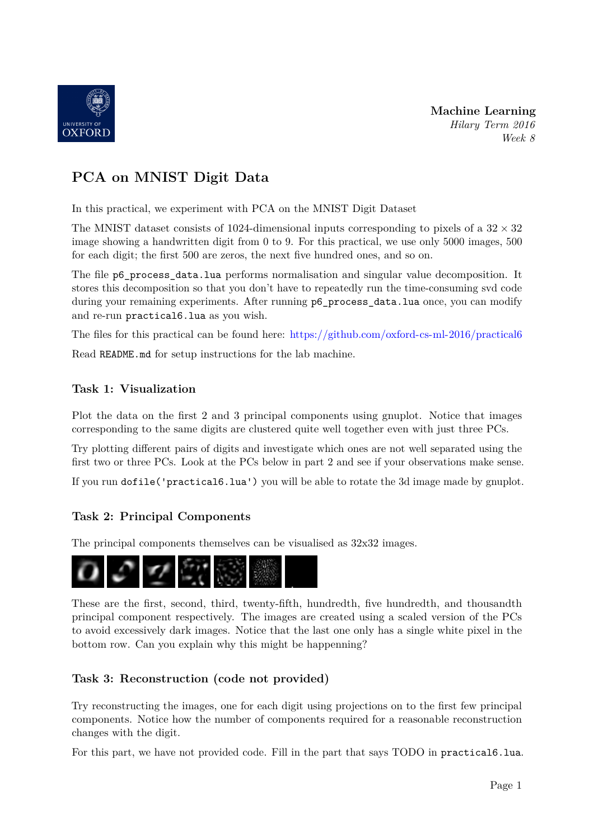

**Machine Learning** *Hilary Term 2016 Week 8*

# **PCA on MNIST Digit Data**

In this practical, we experiment with PCA on the MNIST Digit Dataset

The MNIST dataset consists of 1024-dimensional inputs corresponding to pixels of a  $32 \times 32$ image showing a handwritten digit from 0 to 9. For this practical, we use only 5000 images, 500 for each digit; the first 500 are zeros, the next five hundred ones, and so on.

The file p6\_process\_data.lua performs normalisation and singular value decomposition. It stores this decomposition so that you don't have to repeatedly run the time-consuming svd code during your remaining experiments. After running  $p6\_process\_data.lua$  once, you can modify and re-run practical6.lua as you wish.

The files for this practical can be found here: <https://github.com/oxford-cs-ml-2016/practical6>

Read README.md for setup instructions for the lab machine.

#### **Task 1: Visualization**

Plot the data on the first 2 and 3 principal components using gnuplot. Notice that images corresponding to the same digits are clustered quite well together even with just three PCs.

Try plotting different pairs of digits and investigate which ones are not well separated using the first two or three PCs. Look at the PCs below in part 2 and see if your observations make sense.

If you run dofile('practical6.lua') you will be able to rotate the 3d image made by gnuplot.

### **Task 2: Principal Components**

The principal components themselves can be visualised as 32x32 images.



These are the first, second, third, twenty-fifth, hundredth, five hundredth, and thousandth principal component respectively. The images are created using a scaled version of the PCs to avoid excessively dark images. Notice that the last one only has a single white pixel in the bottom row. Can you explain why this might be happenning?

### **Task 3: Reconstruction (code not provided)**

Try reconstructing the images, one for each digit using projections on to the first few principal components. Notice how the number of components required for a reasonable reconstruction changes with the digit.

For this part, we have not provided code. Fill in the part that says TODO in practical6.lua.